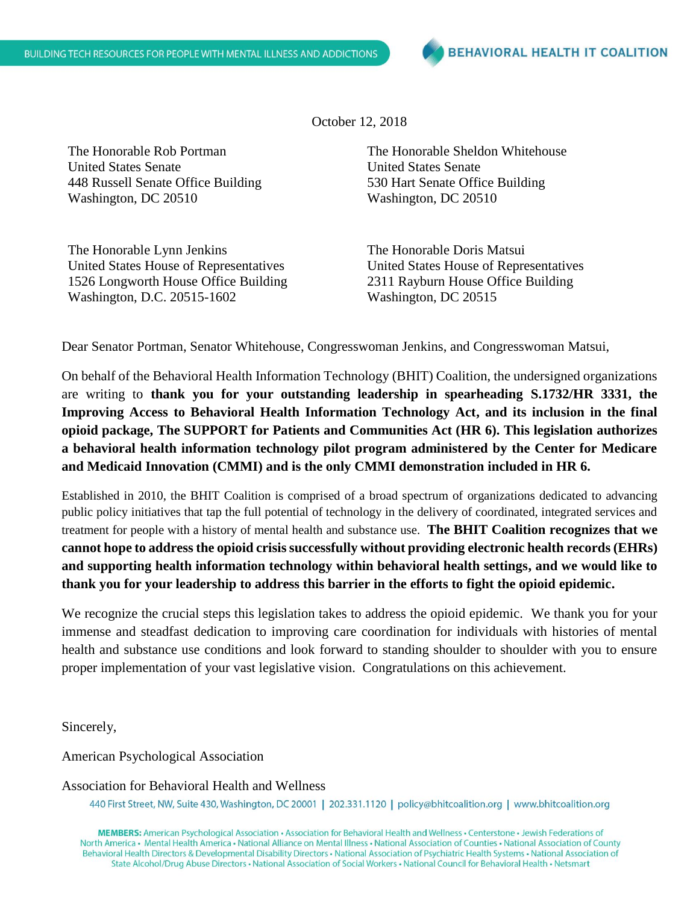October 12, 2018

The Honorable Rob Portman United States Senate 448 Russell Senate Office Building Washington, DC 20510

The Honorable Lynn Jenkins United States House of Representatives 1526 Longworth House Office Building Washington, D.C. 20515-1602

The Honorable Sheldon Whitehouse United States Senate 530 Hart Senate Office Building Washington, DC 20510

The Honorable Doris Matsui United States House of Representatives 2311 Rayburn House Office Building Washington, DC 20515

Dear Senator Portman, Senator Whitehouse, Congresswoman Jenkins, and Congresswoman Matsui,

On behalf of the Behavioral Health Information Technology (BHIT) Coalition, the undersigned organizations are writing to **thank you for your outstanding leadership in spearheading S.1732/HR 3331, the Improving Access to Behavioral Health Information Technology Act, and its inclusion in the final opioid package, The SUPPORT for Patients and Communities Act (HR 6). This legislation authorizes a behavioral health information technology pilot program administered by the Center for Medicare and Medicaid Innovation (CMMI) and is the only CMMI demonstration included in HR 6.**

Established in 2010, the BHIT Coalition is comprised of a broad spectrum of organizations dedicated to advancing public policy initiatives that tap the full potential of technology in the delivery of coordinated, integrated services and treatment for people with a history of mental health and substance use. **The BHIT Coalition recognizes that we cannot hope to address the opioid crisis successfully without providing electronic health records (EHRs) and supporting health information technology within behavioral health settings, and we would like to thank you for your leadership to address this barrier in the efforts to fight the opioid epidemic.**

We recognize the crucial steps this legislation takes to address the opioid epidemic. We thank you for your immense and steadfast dedication to improving care coordination for individuals with histories of mental health and substance use conditions and look forward to standing shoulder to shoulder with you to ensure proper implementation of your vast legislative vision. Congratulations on this achievement.

Sincerely,

American Psychological Association

Association for Behavioral Health and Wellness

440 First Street, NW, Suite 430, Washington, DC 20001 | 202.331.1120 | policy@bhitcoalition.org | www.bhitcoalition.org

MEMBERS: American Psychological Association · Association for Behavioral Health and Wellness · Centerstone · Jewish Federations of North America • Mental Health America • National Alliance on Mental Illness • National Association of Counties • National Association of County Behavioral Health Directors & Developmental Disability Directors · National Association of Psychiatric Health Systems · National Association of State Alcohol/Drug Abuse Directors • National Association of Social Workers • National Council for Behavioral Health • Netsmart